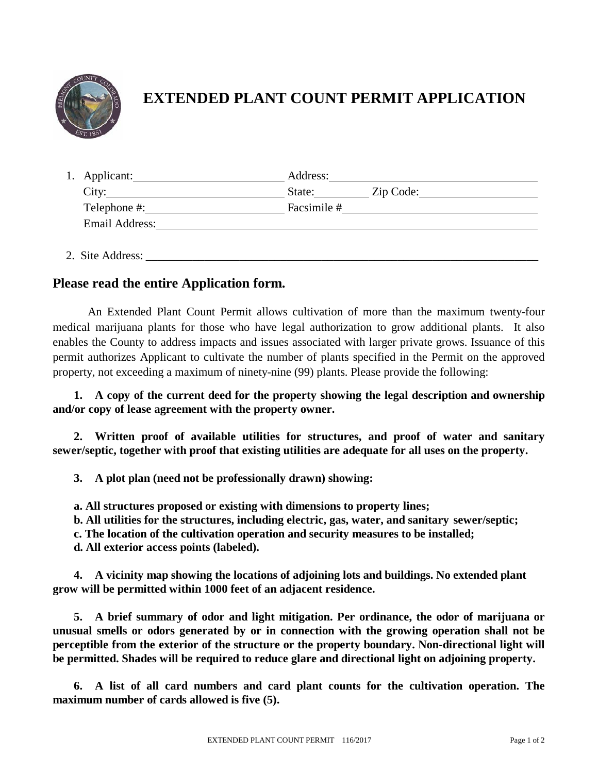

## **EXTENDED PLANT COUNT PERMIT APPLICATION**

| 1. Applicant:         | Address:    |           |
|-----------------------|-------------|-----------|
| City:                 | State:      | Zip Code: |
| Telephone #:          | Facsimile # |           |
| <b>Email Address:</b> |             |           |
|                       |             |           |

2. Site Address:

## **Please read the entire Application form.**

An Extended Plant Count Permit allows cultivation of more than the maximum twenty-four medical marijuana plants for those who have legal authorization to grow additional plants. It also enables the County to address impacts and issues associated with larger private grows. Issuance of this permit authorizes Applicant to cultivate the number of plants specified in the Permit on the approved property, not exceeding a maximum of ninety-nine (99) plants. Please provide the following:

**1. A copy of the current deed for the property showing the legal description and ownership and/or copy of lease agreement with the property owner.**

**2. Written proof of available utilities for structures, and proof of water and sanitary sewer/septic, together with proof that existing utilities are adequate for all uses on the property.** 

**3. A plot plan (need not be professionally drawn) showing:**

**a. All structures proposed or existing with dimensions to property lines;**

**b. All utilities for the structures, including electric, gas, water, and sanitary sewer/septic;**

**c. The location of the cultivation operation and security measures to be installed;**

**d. All exterior access points (labeled).**

**4. A vicinity map showing the locations of adjoining lots and buildings. No extended plant grow will be permitted within 1000 feet of an adjacent residence.**

**5. A brief summary of odor and light mitigation. Per ordinance, the odor of marijuana or unusual smells or odors generated by or in connection with the growing operation shall not be perceptible from the exterior of the structure or the property boundary. Non-directional light will be permitted. Shades will be required to reduce glare and directional light on adjoining property.**

**6. A list of all card numbers and card plant counts for the cultivation operation. The maximum number of cards allowed is five (5).**